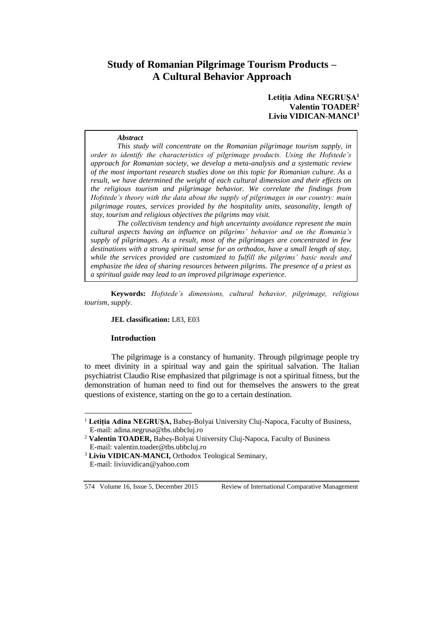# **Study of Romanian Pilgrimage Tourism Products – A Cultural Behavior Approach**

**Letiția Adina NEGRUȘA<sup>1</sup> Valentin TOADER<sup>2</sup> Liviu VIDICAN-MANCI<sup>3</sup>**

#### *Abstract*

*This study will concentrate on the Romanian pilgrimage tourism supply, in order to identify the characteristics of pilgrimage products. Using the Hofstede's approach for Romanian society, we develop a meta-analysis and a systematic review of the most important research studies done on this topic for Romanian culture. As a result, we have determined the weight of each cultural dimension and their effects on the religious tourism and pilgrimage behavior. We correlate the findings from Hofstede's theory with the data about the supply of pilgrimages in our country: main pilgrimage routes, services provided by the hospitality units, seasonality, length of stay, tourism and religious objectives the pilgrims may visit.*

*The collectivism tendency and high uncertainty avoidance represent the main cultural aspects having an influence on pilgrims' behavior and on the Romania's supply of pilgrimages. As a result, most of the pilgrimages are concentrated in few destinations with a strong spiritual sense for an orthodox, have a small length of stay, while the services provided are customized to fulfill the pilgrims' basic needs and emphasize the idea of sharing resources between pilgrims. The presence of a priest as a spiritual guide may lead to an improved pilgrimage experience.*

**Keywords:** *Hofstede's dimensions, cultural behavior, pilgrimage, religious tourism, supply.*

#### **JEL classification:** L83, E03

#### **Introduction**

 $\overline{a}$ 

The pilgrimage is a constancy of humanity. Through pilgrimage people try to meet divinity in a spiritual way and gain the spiritual salvation. The Italian psychiatrist Claudio Rise emphasized that pilgrimage is not a spiritual fitness, but the demonstration of human need to find out for themselves the answers to the great questions of existence, starting on the go to a certain destination.

<sup>1</sup> **Letiția Adina NEGRUȘA,** Babeș-Bolyai University Cluj-Napoca, Faculty of Business, E-mail: adina.negrusa@tbs.ubbcluj.ro

<sup>2</sup> **Valentin TOADER,** Babeș-Bolyai University Cluj-Napoca, Faculty of Business E-mail: valentin.toader@tbs.ubbcluj.ro

<sup>&</sup>lt;sup>3</sup> Liviu VIDICAN-MANCI, Orthodox Teological Seminary, E-mail: liviuvidican@yahoo.com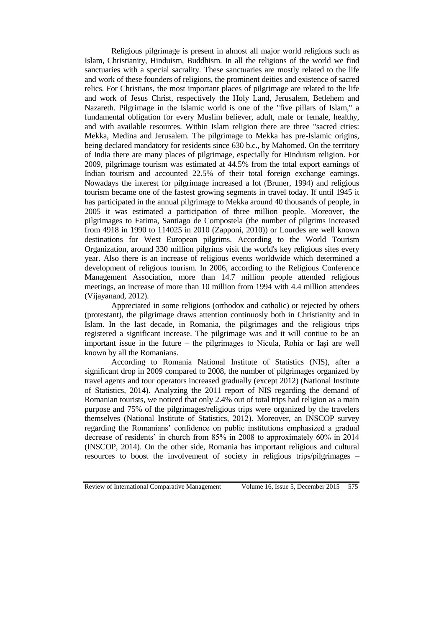Religious pilgrimage is present in almost all major world religions such as Islam, Christianity, Hinduism, Buddhism. In all the religions of the world we find sanctuaries with a special sacrality. These sanctuaries are mostly related to the life and work of these founders of religions, the prominent deities and existence of sacred relics. For Christians, the most important places of pilgrimage are related to the life and work of Jesus Christ, respectively the Holy Land, Jerusalem, Betlehem and Nazareth. Pilgrimage in the Islamic world is one of the "five pillars of Islam," a fundamental obligation for every Muslim believer, adult, male or female, healthy, and with available resources. Within Islam religion there are three "sacred cities: Mekka, Medina and Jerusalem. The pilgrimage to Mekka has pre-Islamic origins, being declared mandatory for residents since 630 b.c., by Mahomed. On the territory of India there are many places of pilgrimage, especially for Hinduism religion. For 2009, pilgrimage tourism was estimated at 44.5% from the total export earnings of Indian tourism and accounted 22.5% of their total foreign exchange earnings. Nowadays the interest for pilgrimage increased a lot (Bruner, 1994) and religious tourism became one of the fastest growing segments in travel today. If until 1945 it has participated in the annual pilgrimage to Mekka around 40 thousands of people, in 2005 it was estimated a participation of three million people. Moreover, the pilgrimages to Fatima, Santiago de Compostela (the number of pilgrims increased from 4918 in 1990 to 114025 in 2010 (Zapponi, 2010)) or Lourdes are well known destinations for West European pilgrims. According to the World Tourism Organization, around 330 million pilgrims visit the world's key religious sites every year. Also there is an increase of religious events worldwide which determined a development of religious tourism. In 2006, according to the Religious Conference Management Association, more than 14.7 million people attended religious meetings, an increase of more than 10 million from 1994 with 4.4 million attendees (Vijayanand, 2012).

Appreciated in some religions (orthodox and catholic) or rejected by others (protestant), the pilgrimage draws attention continuosly both in Christianity and in Islam. In the last decade, in Romania, the pilgrimages and the religious trips registered a significant increase. The pilgrimage was and it will contiue to be an important issue in the future – the pilgrimages to Nicula, Rohia or Iași are well known by all the Romanians.

According to Romania National Institute of Statistics (NIS), after a significant drop in 2009 compared to 2008, the number of pilgrimages organized by travel agents and tour operators increased gradually (except 2012) (National Institute of Statistics, 2014). Analyzing the 2011 report of NIS regarding the demand of Romanian tourists, we noticed that only 2.4% out of total trips had religion as a main purpose and 75% of the pilgrimages/religious trips were organized by the travelers themselves (National Institute of Statistics, 2012). Moreover, an INSCOP survey regarding the Romanians' confidence on public institutions emphasized a gradual decrease of residents' in church from 85% in 2008 to approximately 60% in 2014 (INSCOP, 2014). On the other side, Romania has important religious and cultural resources to boost the involvement of society in religious trips/pilgrimages –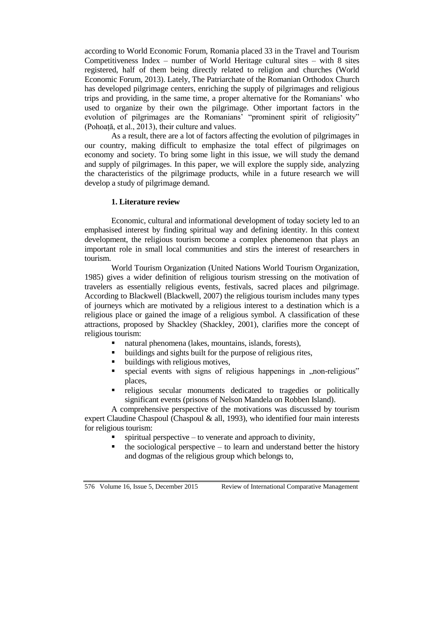according to World Economic Forum, Romania placed 33 in the Travel and Tourism Competitiveness Index – number of World Heritage cultural sites – with 8 sites registered, half of them being directly related to religion and churches (World Economic Forum, 2013). Lately, The Patriarchate of the Romanian Orthodox Church has developed pilgrimage centers, enriching the supply of pilgrimages and religious trips and providing, in the same time, a proper alternative for the Romanians' who used to organize by their own the pilgrimage. Other important factors in the evolution of pilgrimages are the Romanians' "prominent spirit of religiosity" (Pohoață, et al., 2013), their culture and values.

As a result, there are a lot of factors affecting the evolution of pilgrimages in our country, making difficult to emphasize the total effect of pilgrimages on economy and society. To bring some light in this issue, we will study the demand and supply of pilgrimages. In this paper, we will explore the supply side, analyzing the characteristics of the pilgrimage products, while in a future research we will develop a study of pilgrimage demand.

### **1. Literature review**

Economic, cultural and informational development of today society led to an emphasised interest by finding spiritual way and defining identity. In this context development, the religious tourism become a complex phenomenon that plays an important role in small local communities and stirs the interest of researchers in tourism.

World Tourism Organization (United Nations World Tourism Organization, 1985) gives a wider definition of religious tourism stressing on the motivation of travelers as essentially religious events, festivals, sacred places and pilgrimage. According to Blackwell (Blackwell, 2007) the religious tourism includes many types of journeys which are motivated by a religious interest to a destination which is a religious place or gained the image of a religious symbol. A classification of these attractions, proposed by Shackley (Shackley, 2001), clarifies more the concept of religious tourism:

- natural phenomena (lakes, mountains, islands, forests),
- buildings and sights built for the purpose of religious rites,
- buildings with religious motives,
- special events with signs of religious happenings in  $,$ non-religious" places,
- religious secular monuments dedicated to tragedies or politically significant events (prisons of Nelson Mandela on Robben Island).

A comprehensive perspective of the motivations was discussed by tourism expert Claudine Chaspoul (Chaspoul & all, 1993), who identified four main interests for religious tourism:

- spiritual perspective to venerate and approach to divinity,
- the sociological perspective to learn and understand better the history and dogmas of the religious group which belongs to,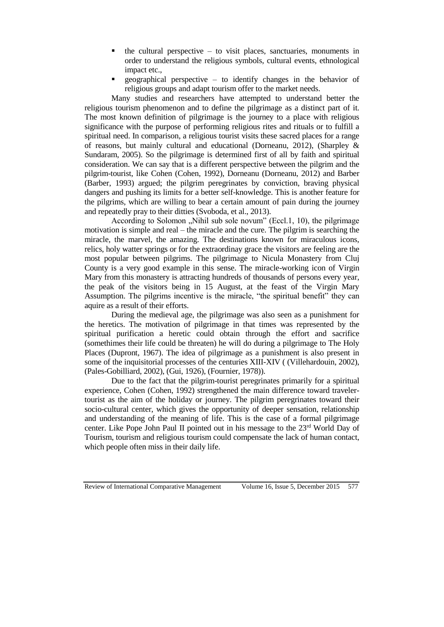- the cultural perspective to visit places, sanctuaries, monuments in order to understand the religious symbols, cultural events, ethnological impact etc.,
- geographical perspective to identify changes in the behavior of religious groups and adapt tourism offer to the market needs.

Many studies and researchers have attempted to understand better the religious tourism phenomenon and to define the pilgrimage as a distinct part of it. The most known definition of pilgrimage is the journey to a place with religious significance with the purpose of performing religious rites and rituals or to fulfill a spiritual need. In comparison, a religious tourist visits these sacred places for a range of reasons, but mainly cultural and educational (Dorneanu, 2012), (Sharpley & Sundaram, 2005). So the pilgrimage is determined first of all by faith and spiritual consideration. We can say that is a different perspective between the pilgrim and the pilgrim-tourist, like Cohen (Cohen, 1992), Dorneanu (Dorneanu, 2012) and Barber (Barber, 1993) argued; the pilgrim peregrinates by conviction, braving physical dangers and pushing its limits for a better self-knowledge. This is another feature for the pilgrims, which are willing to bear a certain amount of pain during the journey and repeatedly pray to their ditties (Svoboda, et al., 2013).

According to Solomon  $\mu$ , Nihil sub sole novum" (Eccl.1, 10), the pilgrimage motivation is simple and real – the miracle and the cure. The pilgrim is searching the miracle, the marvel, the amazing. The destinations known for miraculous icons, relics, holy watter springs or for the extraordinay grace the visitors are feeling are the most popular between pilgrims. The pilgrimage to Nicula Monastery from Cluj County is a very good example in this sense. The miracle-working icon of Virgin Mary from this monastery is attracting hundreds of thousands of persons every year, the peak of the visitors being in 15 August, at the feast of the Virgin Mary Assumption. The pilgrims incentive is the miracle, "the spiritual benefit" they can aquire as a result of their efforts.

During the medieval age, the pilgrimage was also seen as a punishment for the heretics. The motivation of pilgrimage in that times was represented by the spiritual purification a heretic could obtain through the effort and sacrifice (somethimes their life could be threaten) he will do during a pilgrimage to The Holy Places (Dupront, 1967). The idea of pilgrimage as a punishment is also present in some of the inquisitorial processes of the centuries XIII-XIV ( (Villehardouin, 2002), (Pales-Gobilliard, 2002), (Gui, 1926), (Fournier, 1978)).

Due to the fact that the pilgrim-tourist peregrinates primarily for a spiritual experience, Cohen (Cohen, 1992) strengthened the main difference toward travelertourist as the aim of the holiday or journey. The pilgrim peregrinates toward their socio-cultural center, which gives the opportunity of deeper sensation, relationship and understanding of the meaning of life. This is the case of a formal pilgrimage center. Like Pope John Paul II pointed out in his message to the 23<sup>rd</sup> World Day of Tourism, tourism and religious tourism could compensate the lack of human contact, which people often miss in their daily life.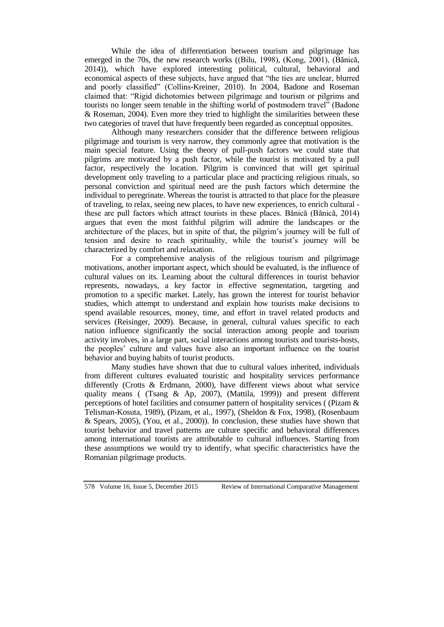While the idea of differentiation between tourism and pilgrimage has emerged in the 70s, the new research works ((Bilu, 1998), (Kong, 2001), (Bănică, 2014)), which have explored interesting political, cultural, behavioral and economical aspects of these subjects, have argued that "the ties are unclear, blurred and poorly classified" (Collins-Kreiner, 2010). In 2004, Badone and Roseman claimed that: "Rigid dichotomies between pilgrimage and tourism or pilgrims and tourists no longer seem tenable in the shifting world of postmodern travel" (Badone & Roseman, 2004). Even more they tried to highlight the similarities between these two categories of travel that have frequently been regarded as conceptual opposites.

Although many researchers consider that the difference between religious pilgrimage and tourism is very narrow, they commonly agree that motivation is the main special feature. Using the theory of pull-push factors we could state that pilgrims are motivated by a push factor, while the tourist is motivated by a pull factor, respectively the location. Pilgrim is convinced that will get spiritual development only traveling to a particular place and practicing religious rituals, so personal conviction and spiritual need are the push factors which determine the individual to peregrinate. Whereas the tourist is attracted to that place for the pleasure of traveling, to relax, seeing new places, to have new experiences, to enrich cultural these are pull factors which attract tourists in these places. Bănică (Bănică, 2014) argues that even the most faithful pilgrim will admire the landscapes or the architecture of the places, but in spite of that, the pilgrim's journey will be full of tension and desire to reach spirituality, while the tourist's journey will be characterized by comfort and relaxation.

For a comprehensive analysis of the religious tourism and pilgrimage motivations, another important aspect, which should be evaluated, is the influence of cultural values on its. Learning about the cultural differences in tourist behavior represents, nowadays, a key factor in effective segmentation, targeting and promotion to a specific market. Lately, has grown the interest for tourist behavior studies, which attempt to understand and explain how tourists make decisions to spend available resources, money, time, and effort in travel related products and services (Reisinger, 2009). Because, in general, cultural values specific to each nation influence significantly the social interaction among people and tourism activity involves, in a large part, social interactions among tourists and tourists-hosts, the peoples' culture and values have also an important influence on the tourist behavior and buying habits of tourist products.

Many studies have shown that due to cultural values inherited, individuals from different cultures evaluated touristic and hospitality services performance differently (Crotts & Erdmann, 2000), have different views about what service quality means ( (Tsang & Ap, 2007), (Mattila, 1999)) and present different perceptions of hotel facilities and consumer pattern of hospitality services ( (Pizam & Telisman-Kosuta, 1989), (Pizam, et al., 1997), (Sheldon & Fox, 1998), (Rosenbaum & Spears, 2005), (You, et al., 2000)). In conclusion, these studies have shown that tourist behavior and travel patterns are culture specific and behavioral differences among international tourists are attributable to cultural influences. Starting from these assumptions we would try to identify, what specific characteristics have the Romanian pilgrimage products.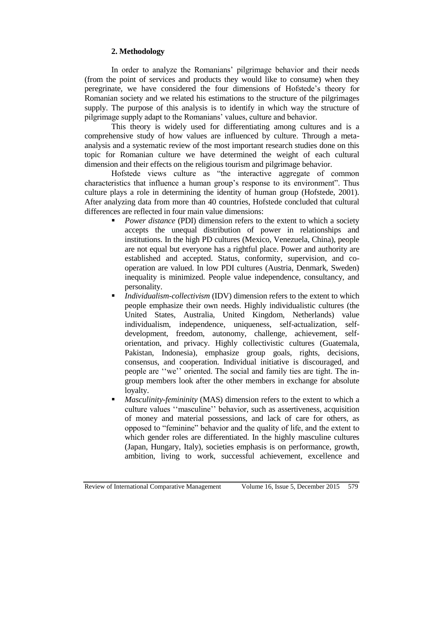## **2. Methodology**

In order to analyze the Romanians' pilgrimage behavior and their needs (from the point of services and products they would like to consume) when they peregrinate, we have considered the four dimensions of Hofstede's theory for Romanian society and we related his estimations to the structure of the pilgrimages supply. The purpose of this analysis is to identify in which way the structure of pilgrimage supply adapt to the Romanians' values, culture and behavior.

This theory is widely used for differentiating among cultures and is a comprehensive study of how values are influenced by culture. Through a metaanalysis and a systematic review of the most important research studies done on this topic for Romanian culture we have determined the weight of each cultural dimension and their effects on the religious tourism and pilgrimage behavior.

Hofstede views culture as "the interactive aggregate of common characteristics that influence a human group's response to its environment". Thus culture plays a role in determining the identity of human group (Hofstede, 2001). After analyzing data from more than 40 countries, Hofstede concluded that cultural differences are reflected in four main value dimensions:

- *Power distance* (PDI) dimension refers to the extent to which a society accepts the unequal distribution of power in relationships and institutions. In the high PD cultures (Mexico, Venezuela, China), people are not equal but everyone has a rightful place. Power and authority are established and accepted. Status, conformity, supervision, and cooperation are valued. In low PDI cultures (Austria, Denmark, Sweden) inequality is minimized. People value independence, consultancy, and personality.
- *Individualism-collectivism* (IDV) dimension refers to the extent to which people emphasize their own needs. Highly individualistic cultures (the United States, Australia, United Kingdom, Netherlands) value individualism, independence, uniqueness, self-actualization, selfdevelopment, freedom, autonomy, challenge, achievement, selforientation, and privacy. Highly collectivistic cultures (Guatemala, Pakistan, Indonesia), emphasize group goals, rights, decisions, consensus, and cooperation. Individual initiative is discouraged, and people are ''we'' oriented. The social and family ties are tight. The ingroup members look after the other members in exchange for absolute loyalty.
- *Masculinity-femininity* (MAS) dimension refers to the extent to which a culture values ''masculine'' behavior, such as assertiveness, acquisition of money and material possessions, and lack of care for others, as opposed to "feminine" behavior and the quality of life, and the extent to which gender roles are differentiated. In the highly masculine cultures (Japan, Hungary, Italy), societies emphasis is on performance, growth, ambition, living to work, successful achievement, excellence and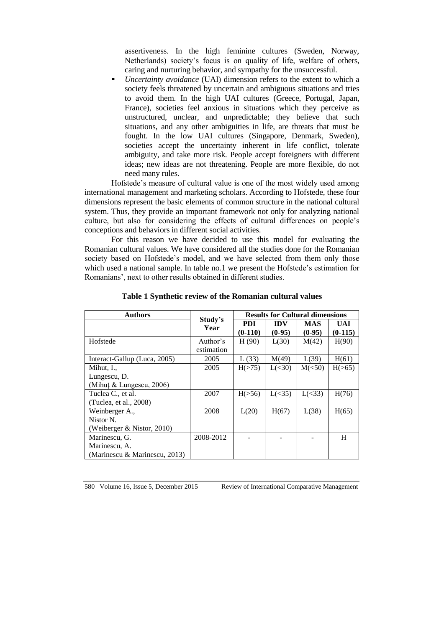assertiveness. In the high feminine cultures (Sweden, Norway, Netherlands) society's focus is on quality of life, welfare of others, caring and nurturing behavior, and sympathy for the unsuccessful.

 *Uncertainty avoidance* (UAI) dimension refers to the extent to which a society feels threatened by uncertain and ambiguous situations and tries to avoid them. In the high UAI cultures (Greece, Portugal, Japan, France), societies feel anxious in situations which they perceive as unstructured, unclear, and unpredictable; they believe that such situations, and any other ambiguities in life, are threats that must be fought. In the low UAI cultures (Singapore, Denmark, Sweden), societies accept the uncertainty inherent in life conflict, tolerate ambiguity, and take more risk. People accept foreigners with different ideas; new ideas are not threatening. People are more flexible, do not need many rules.

Hofstede's measure of cultural value is one of the most widely used among international management and marketing scholars. According to Hofstede, these four dimensions represent the basic elements of common structure in the national cultural system. Thus, they provide an important framework not only for analyzing national culture, but also for considering the effects of cultural differences on people's conceptions and behaviors in different social activities.

For this reason we have decided to use this model for evaluating the Romanian cultural values. We have considered all the studies done for the Romanian society based on Hofstede's model, and we have selected from them only those which used a national sample. In table no.1 we present the Hofstede's estimation for Romanians', next to other results obtained in different studies.

| <b>Authors</b>                | Study's<br>Year | <b>Results for Cultural dimensions</b> |            |            |           |
|-------------------------------|-----------------|----------------------------------------|------------|------------|-----------|
|                               |                 | PDI                                    | <b>IDV</b> | <b>MAS</b> | UAI       |
|                               |                 | $(0-110)$                              | $(0-95)$   | $(0-95)$   | $(0-115)$ |
| Hofstede                      | Author's        | H(90)                                  | L(30)      | M(42)      | H(90)     |
|                               | estimation      |                                        |            |            |           |
| Interact-Gallup (Luca, 2005)  | 2005            | L(33)                                  | M(49)      | L(39)      | H(61)     |
| Mihut, I.,                    | 2005            | H(>75)                                 | L(<30)     | M(<50)     | H(>65)    |
| Lungescu, D.                  |                 |                                        |            |            |           |
| (Mihut & Lungescu, 2006)      |                 |                                        |            |            |           |
| Tuclea C., et al.             | 2007            | H(>56)                                 | L(<35)     | L(<33)     | H(76)     |
| (Tuclea, et al., 2008)        |                 |                                        |            |            |           |
| Weinberger A.,                | 2008            | L(20)                                  | H(67)      | L(38)      | H(65)     |
| Nistor N.                     |                 |                                        |            |            |           |
| (Weiberger & Nistor, 2010)    |                 |                                        |            |            |           |
| Marinescu, G.                 | 2008-2012       |                                        |            |            | H         |
| Marinescu, A.                 |                 |                                        |            |            |           |
| (Marinescu & Marinescu, 2013) |                 |                                        |            |            |           |

### **Table 1 Synthetic review of the Romanian cultural values**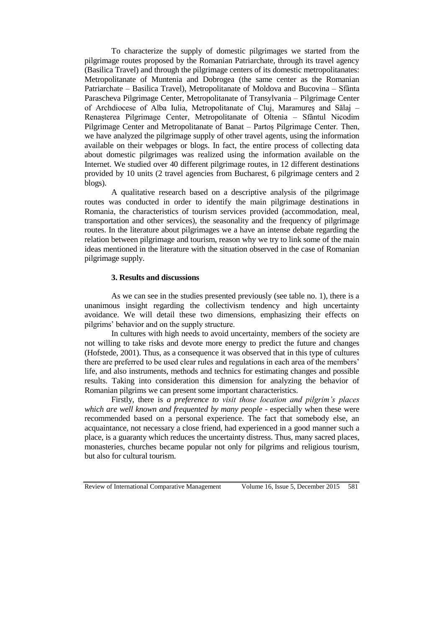To characterize the supply of domestic pilgrimages we started from the pilgrimage routes proposed by the Romanian Patriarchate, through its travel agency (Basilica Travel) and through the pilgrimage centers of its domestic metropolitanates: Metropolitanate of Muntenia and Dobrogea (the same center as the Romanian Patriarchate – Basilica Travel), Metropolitanate of Moldova and Bucovina – Sfânta Parascheva Pilgrimage Center, Metropolitanate of Transylvania – Pilgrimage Center of Archdiocese of Alba Iulia, Metropolitanate of Cluj, Maramureș and Sălaj – Renașterea Pilgrimage Center, Metropolitanate of Oltenia – Sfântul Nicodim Pilgrimage Center and Metropolitanate of Banat – Partoș Pilgrimage Center. Then, we have analyzed the pilgrimage supply of other travel agents, using the information available on their webpages or blogs. In fact, the entire process of collecting data about domestic pilgrimages was realized using the information available on the Internet. We studied over 40 different pilgrimage routes, in 12 different destinations provided by 10 units (2 travel agencies from Bucharest, 6 pilgrimage centers and 2 blogs).

A qualitative research based on a descriptive analysis of the pilgrimage routes was conducted in order to identify the main pilgrimage destinations in Romania, the characteristics of tourism services provided (accommodation, meal, transportation and other services), the seasonality and the frequency of pilgrimage routes. In the literature about pilgrimages we a have an intense debate regarding the relation between pilgrimage and tourism, reason why we try to link some of the main ideas mentioned in the literature with the situation observed in the case of Romanian pilgrimage supply.

### **3. Results and discussions**

As we can see in the studies presented previously (see table no. 1), there is a unanimous insight regarding the collectivism tendency and high uncertainty avoidance. We will detail these two dimensions, emphasizing their effects on pilgrims' behavior and on the supply structure.

In cultures with high needs to avoid uncertainty, members of the society are not willing to take risks and devote more energy to predict the future and changes (Hofstede, 2001). Thus, as a consequence it was observed that in this type of cultures there are preferred to be used clear rules and regulations in each area of the members' life, and also instruments, methods and technics for estimating changes and possible results. Taking into consideration this dimension for analyzing the behavior of Romanian pilgrims we can present some important characteristics.

Firstly, there is *a preference to visit those location and pilgrim's places which are well known and frequented by many people* - especially when these were recommended based on a personal experience. The fact that somebody else, an acquaintance, not necessary a close friend, had experienced in a good manner such a place, is a guaranty which reduces the uncertainty distress. Thus, many sacred places, monasteries, churches became popular not only for pilgrims and religious tourism, but also for cultural tourism.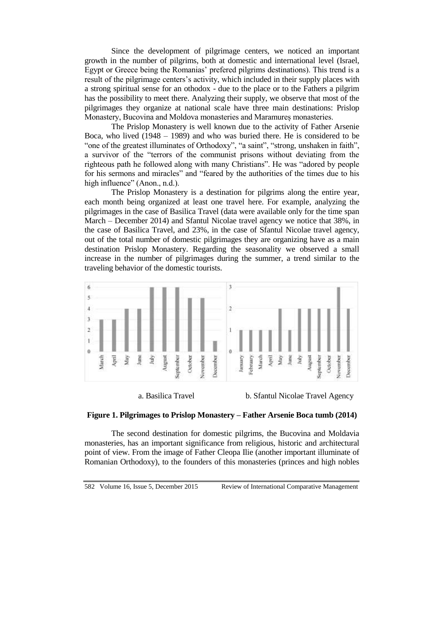Since the development of pilgrimage centers, we noticed an important growth in the number of pilgrims, both at domestic and international level (Israel, Egypt or Greece being the Romanias' prefered pilgrims destinations). This trend is a result of the pilgrimage centers's activity, which included in their supply places with a strong spiritual sense for an othodox - due to the place or to the Fathers a pilgrim has the possibility to meet there. Analyzing their supply, we observe that most of the pilgrimages they organize at national scale have three main destinations: Prislop Monastery, Bucovina and Moldova monasteries and Maramureș monasteries.

The Prislop Monastery is well known due to the activity of Father Arsenie Boca, who lived (1948 – 1989) and who was buried there. He is considered to be "one of the greatest illuminates of Orthodoxy", "a saint", "strong, unshaken in faith", a survivor of the "terrors of the communist prisons without deviating from the righteous path he followed along with many Christians". He was "adored by people for his sermons and miracles" and "feared by the authorities of the times due to his high influence" (Anon., n.d.).

The Prislop Monastery is a destination for pilgrims along the entire year, each month being organized at least one travel here. For example, analyzing the pilgrimages in the case of Basilica Travel (data were available only for the time span March – December 2014) and Sfantul Nicolae travel agency we notice that 38%, in the case of Basilica Travel, and 23%, in the case of Sfantul Nicolae travel agency, out of the total number of domestic pilgrimages they are organizing have as a main destination Prislop Monastery. Regarding the seasonality we observed a small increase in the number of pilgrimages during the summer, a trend similar to the traveling behavior of the domestic tourists.



a. Basilica Travel b. Sfantul Nicolae Travel Agency

## **Figure 1. Pilgrimages to Prislop Monastery – Father Arsenie Boca tumb (2014)**

The second destination for domestic pilgrims, the Bucovina and Moldavia monasteries, has an important significance from religious, historic and architectural point of view. From the image of Father Cleopa Ilie (another important illuminate of Romanian Orthodoxy), to the founders of this monasteries (princes and high nobles

582 Volume 16, Issue 5, December 2015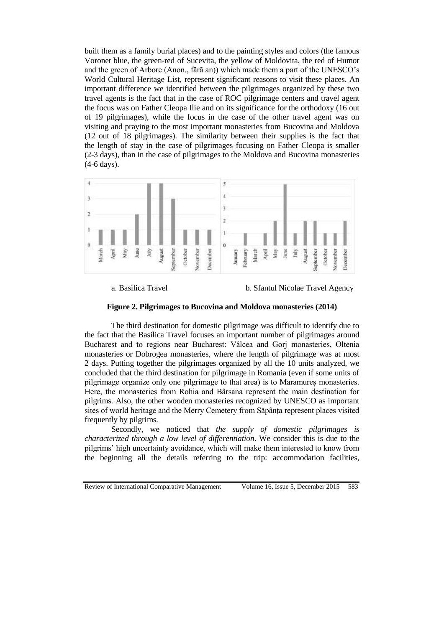built them as a family burial places) and to the painting styles and colors (the famous Voronet blue, the green-red of Sucevita, the yellow of Moldovita, the red of Humor and the green of Arbore (Anon., fără an)) which made them a part of the UNESCO's World Cultural Heritage List, represent significant reasons to visit these places. An important difference we identified between the pilgrimages organized by these two travel agents is the fact that in the case of ROC pilgrimage centers and travel agent the focus was on Father Cleopa Ilie and on its significance for the orthodoxy (16 out of 19 pilgrimages), while the focus in the case of the other travel agent was on visiting and praying to the most important monasteries from Bucovina and Moldova (12 out of 18 pilgrimages). The similarity between their supplies is the fact that the length of stay in the case of pilgrimages focusing on Father Cleopa is smaller (2-3 days), than in the case of pilgrimages to the Moldova and Bucovina monasteries (4-6 days).



a. Basilica Travel b. Sfantul Nicolae Travel Agency

**Figure 2. Pilgrimages to Bucovina and Moldova monasteries (2014)**

The third destination for domestic pilgrimage was difficult to identify due to the fact that the Basilica Travel focuses an important number of pilgrimages around Bucharest and to regions near Bucharest: Vâlcea and Gorj monasteries, Oltenia monasteries or Dobrogea monasteries, where the length of pilgrimage was at most 2 days. Putting together the pilgrimages organized by all the 10 units analyzed, we concluded that the third destination for pilgrimage in Romania (even if some units of pilgrimage organize only one pilgrimage to that area) is to Maramureș monasteries. Here, the monasteries from Rohia and Bârsana represent the main destination for pilgrims. Also, the other wooden monasteries recognized by UNESCO as important sites of world heritage and the Merry Cemetery from Săpânța represent places visited frequently by pilgrims.

Secondly, we noticed that *the supply of domestic pilgrimages is characterized through a low level of differentiation*. We consider this is due to the pilgrims' high uncertainty avoidance, which will make them interested to know from the beginning all the details referring to the trip: accommodation facilities,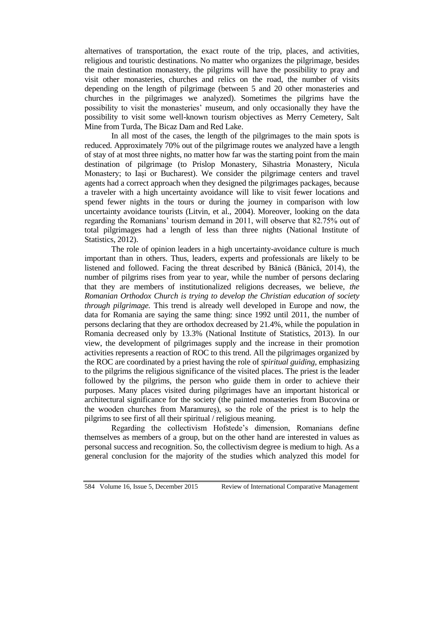alternatives of transportation, the exact route of the trip, places, and activities, religious and touristic destinations. No matter who organizes the pilgrimage, besides the main destination monastery, the pilgrims will have the possibility to pray and visit other monasteries, churches and relics on the road, the number of visits depending on the length of pilgrimage (between 5 and 20 other monasteries and churches in the pilgrimages we analyzed). Sometimes the pilgrims have the possibility to visit the monasteries' museum, and only occasionally they have the possibility to visit some well-known tourism objectives as Merry Cemetery, Salt Mine from Turda, The Bicaz Dam and Red Lake.

In all most of the cases, the length of the pilgrimages to the main spots is reduced. Approximately 70% out of the pilgrimage routes we analyzed have a length of stay of at most three nights, no matter how far was the starting point from the main destination of pilgrimage (to Prislop Monastery, Sihastria Monastery, Nicula Monastery; to Iași or Bucharest). We consider the pilgrimage centers and travel agents had a correct approach when they designed the pilgrimages packages, because a traveler with a high uncertainty avoidance will like to visit fewer locations and spend fewer nights in the tours or during the journey in comparison with low uncertainty avoidance tourists (Litvin, et al., 2004). Moreover, looking on the data regarding the Romanians' tourism demand in 2011, will observe that 82.75% out of total pilgrimages had a length of less than three nights (National Institute of Statistics, 2012).

The role of opinion leaders in a high uncertainty-avoidance culture is much important than in others. Thus, leaders, experts and professionals are likely to be listened and followed. Facing the threat described by Bănică (Bănică, 2014), the number of pilgrims rises from year to year, while the number of persons declaring that they are members of institutionalized religions decreases, we believe, *the Romanian Orthodox Church is trying to develop the Christian education of society through pilgrimage.* This trend is already well developed in Europe and now, the data for Romania are saying the same thing: since 1992 until 2011, the number of persons declaring that they are orthodox decreased by 21.4%, while the population in Romania decreased only by 13.3% (National Institute of Statistics, 2013). In our view, the development of pilgrimages supply and the increase in their promotion activities represents a reaction of ROC to this trend. All the pilgrimages organized by the ROC are coordinated by a priest having the role of *spiritual guiding*, emphasizing to the pilgrims the religious significance of the visited places. The priest is the leader followed by the pilgrims, the person who guide them in order to achieve their purposes. Many places visited during pilgrimages have an important historical or architectural significance for the society (the painted monasteries from Bucovina or the wooden churches from Maramureș), so the role of the priest is to help the pilgrims to see first of all their spiritual / religious meaning.

Regarding the collectivism Hofstede's dimension, Romanians define themselves as members of a group, but on the other hand are interested in values as personal success and recognition. So, the collectivism degree is medium to high. As a general conclusion for the majority of the studies which analyzed this model for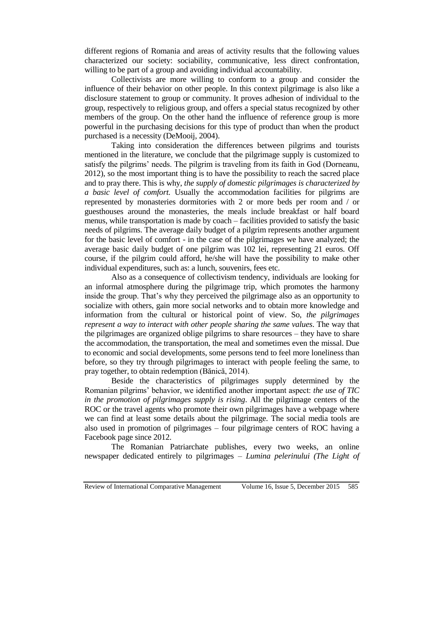different regions of Romania and areas of activity results that the following values characterized our society: sociability, communicative, less direct confrontation, willing to be part of a group and avoiding individual accountability.

Collectivists are more willing to conform to a group and consider the influence of their behavior on other people. In this context pilgrimage is also like a disclosure statement to group or community. It proves adhesion of individual to the group, respectively to religious group, and offers a special status recognized by other members of the group. On the other hand the influence of reference group is more powerful in the purchasing decisions for this type of product than when the product purchased is a necessity (DeMooij, 2004).

Taking into consideration the differences between pilgrims and tourists mentioned in the literature, we conclude that the pilgrimage supply is customized to satisfy the pilgrims' needs. The pilgrim is traveling from its faith in God (Dorneanu, 2012), so the most important thing is to have the possibility to reach the sacred place and to pray there. This is why, *the supply of domestic pilgrimages is characterized by a basic level of comfort.* Usually the accommodation facilities for pilgrims are represented by monasteries dormitories with 2 or more beds per room and / or guesthouses around the monasteries, the meals include breakfast or half board menus, while transportation is made by coach – facilities provided to satisfy the basic needs of pilgrims. The average daily budget of a pilgrim represents another argument for the basic level of comfort - in the case of the pilgrimages we have analyzed; the average basic daily budget of one pilgrim was 102 lei, representing 21 euros. Off course, if the pilgrim could afford, he/she will have the possibility to make other individual expenditures, such as: a lunch, souvenirs, fees etc.

Also as a consequence of collectivism tendency, individuals are looking for an informal atmosphere during the pilgrimage trip, which promotes the harmony inside the group. That's why they perceived the pilgrimage also as an opportunity to socialize with others, gain more social networks and to obtain more knowledge and information from the cultural or historical point of view. So, *the pilgrimages represent a way to interact with other people sharing the same values*. The way that the pilgrimages are organized oblige pilgrims to share resources – they have to share the accommodation, the transportation, the meal and sometimes even the missal. Due to economic and social developments, some persons tend to feel more loneliness than before, so they try through pilgrimages to interact with people feeling the same, to pray together, to obtain redemption (Bănică, 2014).

Beside the characteristics of pilgrimages supply determined by the Romanian pilgrims' behavior, we identified another important aspect: *the use of TIC in the promotion of pilgrimages supply is rising*. All the pilgrimage centers of the ROC or the travel agents who promote their own pilgrimages have a webpage where we can find at least some details about the pilgrimage. The social media tools are also used in promotion of pilgrimages – four pilgrimage centers of ROC having a Facebook page since 2012.

The Romanian Patriarchate publishes, every two weeks, an online newspaper dedicated entirely to pilgrimages – *Lumina pelerinului (The Light of*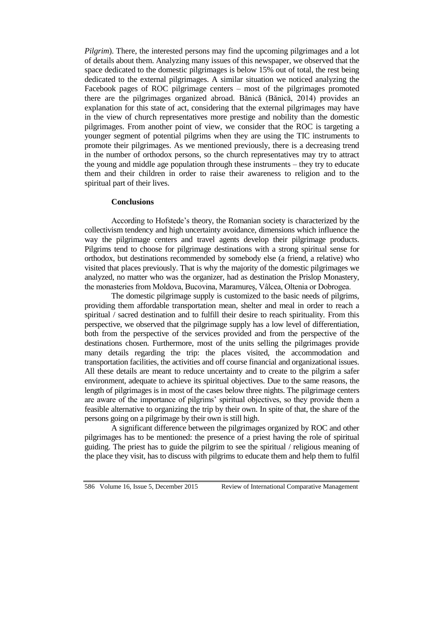*Pilgrim*). There, the interested persons may find the upcoming pilgrimages and a lot of details about them. Analyzing many issues of this newspaper, we observed that the space dedicated to the domestic pilgrimages is below 15% out of total, the rest being dedicated to the external pilgrimages. A similar situation we noticed analyzing the Facebook pages of ROC pilgrimage centers – most of the pilgrimages promoted there are the pilgrimages organized abroad. Bănică (Bănică, 2014) provides an explanation for this state of act, considering that the external pilgrimages may have in the view of church representatives more prestige and nobility than the domestic pilgrimages. From another point of view, we consider that the ROC is targeting a younger segment of potential pilgrims when they are using the TIC instruments to promote their pilgrimages. As we mentioned previously, there is a decreasing trend in the number of orthodox persons, so the church representatives may try to attract the young and middle age population through these instruments – they try to educate them and their children in order to raise their awareness to religion and to the spiritual part of their lives.

### **Conclusions**

According to Hofstede's theory, the Romanian society is characterized by the collectivism tendency and high uncertainty avoidance, dimensions which influence the way the pilgrimage centers and travel agents develop their pilgrimage products. Pilgrims tend to choose for pilgrimage destinations with a strong spiritual sense for orthodox, but destinations recommended by somebody else (a friend, a relative) who visited that places previously. That is why the majority of the domestic pilgrimages we analyzed, no matter who was the organizer, had as destination the Prislop Monastery, the monasteries from Moldova, Bucovina, Maramureș, Vâlcea, Oltenia or Dobrogea.

The domestic pilgrimage supply is customized to the basic needs of pilgrims, providing them affordable transportation mean, shelter and meal in order to reach a spiritual / sacred destination and to fulfill their desire to reach spirituality. From this perspective, we observed that the pilgrimage supply has a low level of differentiation, both from the perspective of the services provided and from the perspective of the destinations chosen. Furthermore, most of the units selling the pilgrimages provide many details regarding the trip: the places visited, the accommodation and transportation facilities, the activities and off course financial and organizational issues. All these details are meant to reduce uncertainty and to create to the pilgrim a safer environment, adequate to achieve its spiritual objectives. Due to the same reasons, the length of pilgrimages is in most of the cases below three nights. The pilgrimage centers are aware of the importance of pilgrims' spiritual objectives, so they provide them a feasible alternative to organizing the trip by their own. In spite of that, the share of the persons going on a pilgrimage by their own is still high.

A significant difference between the pilgrimages organized by ROC and other pilgrimages has to be mentioned: the presence of a priest having the role of spiritual guiding. The priest has to guide the pilgrim to see the spiritual / religious meaning of the place they visit, has to discuss with pilgrims to educate them and help them to fulfil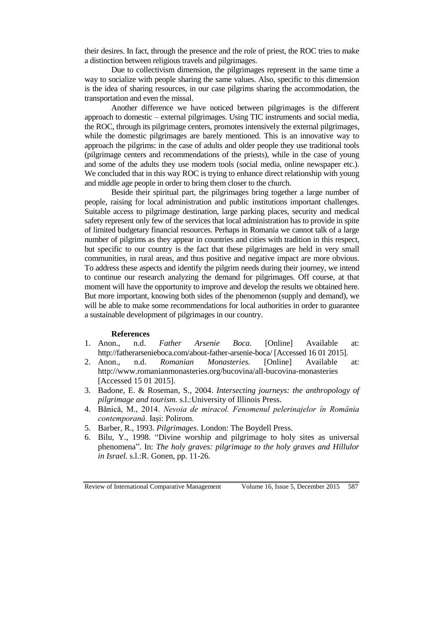their desires. In fact, through the presence and the role of priest, the ROC tries to make a distinction between religious travels and pilgrimages.

Due to collectivism dimension, the pilgrimages represent in the same time a way to socialize with people sharing the same values. Also, specific to this dimension is the idea of sharing resources, in our case pilgrims sharing the accommodation, the transportation and even the missal.

Another difference we have noticed between pilgrimages is the different approach to domestic – external pilgrimages. Using TIC instruments and social media, the ROC, through its pilgrimage centers, promotes intensively the external pilgrimages, while the domestic pilgrimages are barely mentioned. This is an innovative way to approach the pilgrims: in the case of adults and older people they use traditional tools (pilgrimage centers and recommendations of the priests), while in the case of young and some of the adults they use modern tools (social media, online newspaper etc.). We concluded that in this way ROC is trying to enhance direct relationship with young and middle age people in order to bring them closer to the church.

Beside their spiritual part, the pilgrimages bring together a large number of people, raising for local administration and public institutions important challenges. Suitable access to pilgrimage destination, large parking places, security and medical safety represent only few of the services that local administration has to provide in spite of limited budgetary financial resources. Perhaps in Romania we cannot talk of a large number of pilgrims as they appear in countries and cities with tradition in this respect, but specific to our country is the fact that these pilgrimages are held in very small communities, in rural areas, and thus positive and negative impact are more obvious. To address these aspects and identify the pilgrim needs during their journey, we intend to continue our research analyzing the demand for pilgrimages. Off course, at that moment will have the opportunity to improve and develop the results we obtained here. But more important, knowing both sides of the phenomenon (supply and demand), we will be able to make some recommendations for local authorities in order to guarantee a sustainable development of pilgrimages in our country.

#### **References**

- 1. Anon., n.d. *Father Arsenie Boca.* [Online] Available at: http://fatherarsenieboca.com/about-father-arsenie-boca/ [Accessed 16 01 2015].
- 2. Anon., n.d. *Romanian Monasteries.* [Online] Available at: http://www.romanianmonasteries.org/bucovina/all-bucovina-monasteries [Accessed 15 01 2015].
- 3. Badone, E. & Roseman, S., 2004. *Intersecting journeys: the anthropology of pilgrimage and tourism.* s.l.:University of Illinois Press.
- 4. Bănică, M., 2014. *Nevoia de miracol. Fenomenul pelerinajelor în România contemporană.* Iași: Polirom.
- 5. Barber, R., 1993. *Pilgrimages.* London: The Boydell Press.
- 6. Bilu, Y., 1998. "Divine worship and pilgrimage to holy sites as universal phenomena". In: *The holy graves: pilgrimage to the holy graves and Hillulor in Israel.* s.l.:R. Gonen, pp. 11-26.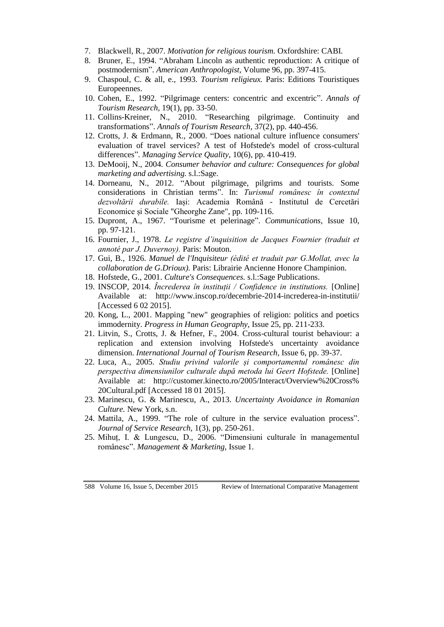- 7. Blackwell, R., 2007. *Motivation for religious tourism.* Oxfordshire: CABI.
- 8. Bruner, E., 1994. "Abraham Lincoln as authentic reproduction: A critique of postmodernism". *American Anthropologist,* Volume 96, pp. 397-415.
- 9. Chaspoul, C. & all, e., 1993. *Tourism religieux.* Paris: Editions Touristiques Europeennes.
- 10. Cohen, E., 1992. "Pilgrimage centers: concentric and excentric". *Annals of Tourism Research,* 19(1), pp. 33-50.
- 11. Collins-Kreiner, N., 2010. "Researching pilgrimage. Continuity and transformations". *Annals of Tourism Research,* 37(2), pp. 440-456.
- 12. Crotts, J. & Erdmann, R., 2000. "Does national culture influence consumers' evaluation of travel services? A test of Hofstede's model of cross-cultural differences". *Managing Service Quality,* 10(6), pp. 410-419.
- 13. DeMooij, N., 2004. *Consumer behavior and culture: Consequences for global marketing and advertising.* s.l.:Sage.
- 14. Dorneanu, N., 2012. "About pilgrimage, pilgrims and tourists. Some considerations in Christian terms". In: *Turismul românesc în contextul dezvoltării durabile.* Iași: Academia Română - Institutul de Cercetări Economice și Sociale "Gheorghe Zane", pp. 109-116.
- 15. Dupront, A., 1967. "Tourisme et pelerinage". *Communications,* Issue 10, pp. 97-121.
- 16. Fournier, J., 1978. *Le registre d'inquisition de Jacques Fournier (traduit et annoté par J. Duvernoy).* Paris: Mouton.
- 17. Gui, B., 1926. *Manuel de l'Inquisiteur (édité et traduit par G.Mollat, avec la collaboration de G.Drioux).* Paris: Librairie Ancienne Honore Champinion.
- 18. Hofstede, G., 2001. *Culture's Consequences.* s.l.:Sage Publications.
- 19. INSCOP, 2014. *Încrederea în instituții / Confidence in institutions.* [Online] Available at: http://www.inscop.ro/decembrie-2014-increderea-in-institutii/ [Accessed 6 02 2015].
- 20. Kong, L., 2001. Mapping "new" geographies of religion: politics and poetics immodernity. *Progress in Human Geography,* Issue 25, pp. 211-233.
- 21. Litvin, S., Crotts, J. & Hefner, F., 2004. Cross-cultural tourist behaviour: a replication and extension involving Hofstede's uncertainty avoidance dimension. *International Journal of Tourism Research,* Issue 6, pp. 39-37.
- 22. Luca, A., 2005. *Studiu privind valorile și comportamentul românesc din perspectiva dimensiunilor culturale după metoda lui Geert Hofstede.* [Online] Available at: http://customer.kinecto.ro/2005/Interact/Overview%20Cross% 20Cultural.pdf [Accessed 18 01 2015].
- 23. Marinescu, G. & Marinescu, A., 2013. *Uncertainty Avoidance in Romanian Culture.* New York, s.n.
- 24. Mattila, A., 1999. "The role of culture in the service evaluation process". *Journal of Service Research,* 1(3), pp. 250-261.
- 25. Mihuț, I. & Lungescu, D., 2006. "Dimensiuni culturale în managementul românesc". *Management & Marketing,* Issue 1.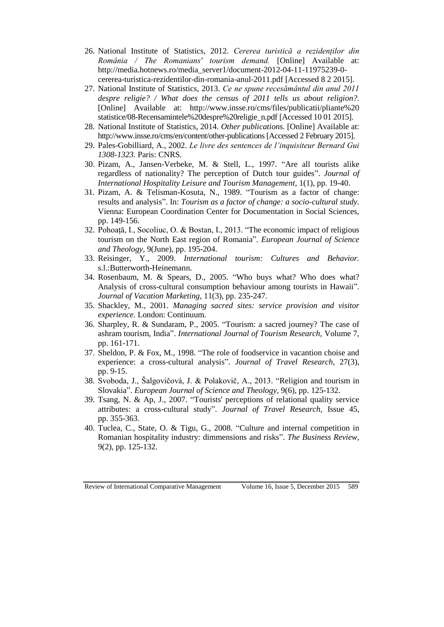- 26. National Institute of Statistics, 2012. *Cererea turistică a rezidenților din România / The Romanians' tourism demand.* [Online] Available at: http://media.hotnews.ro/media\_server1/document-2012-04-11-11975239-0 cererea-turistica-rezidentilor-din-romania-anul-2011.pdf [Accessed 8 2 2015].
- 27. National Institute of Statistics, 2013. *Ce ne spune recesământul din anul 2011 despre religie? / What does the census of 2011 tells us about religion?.*  [Online] Available at: http://www.insse.ro/cms/files/publicatii/pliante%20 statistice/08-Recensamintele%20despre%20religie\_n.pdf [Accessed 10 01 2015].
- 28. National Institute of Statistics, 2014. *Other publications.* [Online] Available at: http://www.insse.ro/cms/en/content/other-publications [Accessed 2 February 2015].
- 29. Pales-Gobilliard, A., 2002. *Le livre des sentences de l'inquisiteur Bernard Gui 1308-1323.* Paris: CNRS.
- 30. Pizam, A., Jansen-Verbeke, M. & Stell, L., 1997. "Are all tourists alike regardless of nationality? The perception of Dutch tour guides". *Journal of International Hospitality Leisure and Tourism Management,* 1(1), pp. 19-40.
- 31. Pizam, A. & Telisman-Kosuta, N., 1989. "Tourism as a factor of change: results and analysis". In: *Tourism as a factor of change: a socio-cultural study.*  Vienna: European Coordination Center for Documentation in Social Sciences, pp. 149-156.
- 32. Pohoață, I., Socoliuc, O. & Bostan, I., 2013. "The economic impact of religious tourism on the North East region of Romania". *European Journal of Science and Theology,* 9(June), pp. 195-204.
- 33. Reisinger, Y., 2009. *International tourism: Cultures and Behavior.*  s.l.:Butterworth-Heinemann.
- 34. Rosenbaum, M. & Spears, D., 2005. "Who buys what? Who does what? Analysis of cross-cultural consumption behaviour among tourists in Hawaii". *Journal of Vacation Marketing,* 11(3), pp. 235-247.
- 35. Shackley, M., 2001. *Managing sacred sites: service provision and visitor experience.* London: Continuum.
- 36. Sharpley, R. & Sundaram, P., 2005. "Tourism: a sacred journey? The case of ashram tourism, India". *International Journal of Tourism Research,* Volume 7, pp. 161-171.
- 37. Sheldon, P. & Fox, M., 1998. "The role of foodservice in vacantion choise and experience: a cross-cultural analysis". *Journal of Travel Research,* 27(3), pp. 9-15.
- 38. Svoboda, J., Šalgovičová, J. & Polakovič, A., 2013. "Religion and tourism in Slovakia". *European Journal of Science and Theology,* 9(6), pp. 125-132.
- 39. Tsang, N. & Ap, J., 2007. "Tourists' perceptions of relational quality service attributes: a cross-cultural study". *Journal of Travel Research,* Issue 45, pp. 355-363.
- 40. Tuclea, C., State, O. & Tigu, G., 2008. "Culture and internal competition in Romanian hospitality industry: dimmensions and risks". *The Business Review,*  9(2), pp. 125-132.